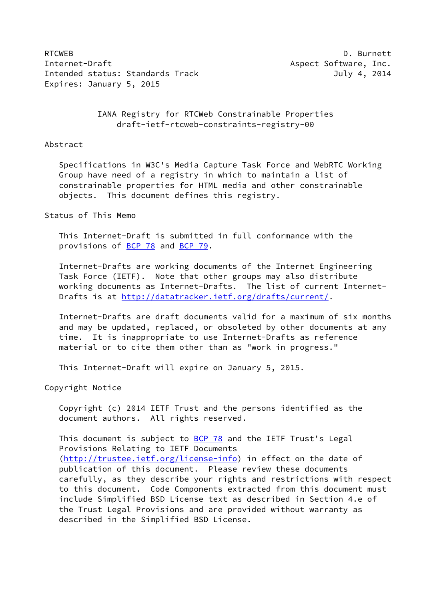RTCWEB D. Burnett Internet-Draft Aspect Software, Inc. Intended status: Standards Track July 4, 2014 Expires: January 5, 2015

# IANA Registry for RTCWeb Constrainable Properties draft-ietf-rtcweb-constraints-registry-00

#### Abstract

 Specifications in W3C's Media Capture Task Force and WebRTC Working Group have need of a registry in which to maintain a list of constrainable properties for HTML media and other constrainable objects. This document defines this registry.

# Status of This Memo

 This Internet-Draft is submitted in full conformance with the provisions of [BCP 78](https://datatracker.ietf.org/doc/pdf/bcp78) and [BCP 79](https://datatracker.ietf.org/doc/pdf/bcp79).

 Internet-Drafts are working documents of the Internet Engineering Task Force (IETF). Note that other groups may also distribute working documents as Internet-Drafts. The list of current Internet- Drafts is at<http://datatracker.ietf.org/drafts/current/>.

 Internet-Drafts are draft documents valid for a maximum of six months and may be updated, replaced, or obsoleted by other documents at any time. It is inappropriate to use Internet-Drafts as reference material or to cite them other than as "work in progress."

This Internet-Draft will expire on January 5, 2015.

Copyright Notice

 Copyright (c) 2014 IETF Trust and the persons identified as the document authors. All rights reserved.

This document is subject to **[BCP 78](https://datatracker.ietf.org/doc/pdf/bcp78)** and the IETF Trust's Legal Provisions Relating to IETF Documents [\(http://trustee.ietf.org/license-info](http://trustee.ietf.org/license-info)) in effect on the date of publication of this document. Please review these documents carefully, as they describe your rights and restrictions with respect to this document. Code Components extracted from this document must include Simplified BSD License text as described in Section 4.e of the Trust Legal Provisions and are provided without warranty as described in the Simplified BSD License.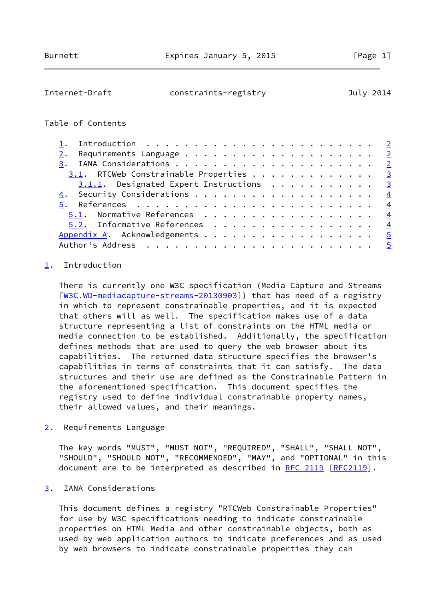<span id="page-1-1"></span>

| Internet-Draft | constraints-registry | July 2014 |
|----------------|----------------------|-----------|
|                |                      |           |

# Table of Contents

| 3.1. RTCWeb Constrainable Properties 3    |                |
|-------------------------------------------|----------------|
| $3.1.1.$ Designated Expert Instructions 3 |                |
|                                           |                |
|                                           |                |
| 5.1. Normative References $\frac{4}{5}$   |                |
| 5.2. Informative References               | $\overline{4}$ |
| Appendix A. Acknowledgements 5            |                |
|                                           |                |

### <span id="page-1-0"></span>[1](#page-1-0). Introduction

 There is currently one W3C specification (Media Capture and Streams [\[W3C.WD-mediacapture-streams-20130903](#page-4-3)]) that has need of a registry in which to represent constrainable properties, and it is expected that others will as well. The specification makes use of a data structure representing a list of constraints on the HTML media or media connection to be established. Additionally, the specification defines methods that are used to query the web browser about its capabilities. The returned data structure specifies the browser's capabilities in terms of constraints that it can satisfy. The data structures and their use are defined as the Constrainable Pattern in the aforementioned specification. This document specifies the registry used to define individual constrainable property names, their allowed values, and their meanings.

<span id="page-1-2"></span>[2](#page-1-2). Requirements Language

 The key words "MUST", "MUST NOT", "REQUIRED", "SHALL", "SHALL NOT", "SHOULD", "SHOULD NOT", "RECOMMENDED", "MAY", and "OPTIONAL" in this document are to be interpreted as described in [RFC 2119 \[RFC2119](https://datatracker.ietf.org/doc/pdf/rfc2119)].

## <span id="page-1-3"></span>[3](#page-1-3). IANA Considerations

 This document defines a registry "RTCWeb Constrainable Properties" for use by W3C specifications needing to indicate constrainable properties on HTML Media and other constrainable objects, both as used by web application authors to indicate preferences and as used by web browsers to indicate constrainable properties they can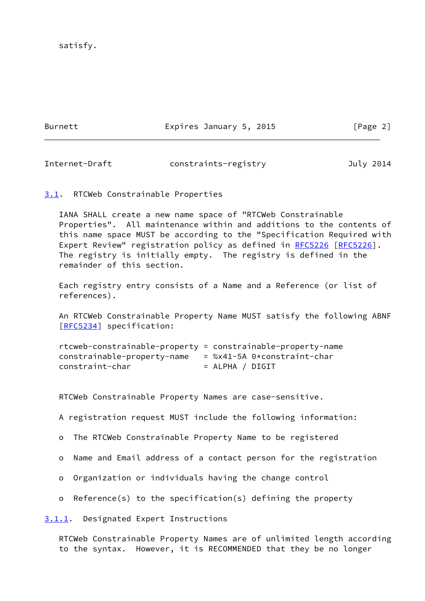satisfy.

Burnett **Expires January 5, 2015** [Page 2]

<span id="page-2-1"></span>Internet-Draft constraints-registry July 2014

<span id="page-2-0"></span>[3.1](#page-2-0). RTCWeb Constrainable Properties

 IANA SHALL create a new name space of "RTCWeb Constrainable Properties". All maintenance within and additions to the contents of this name space MUST be according to the "Specification Required with Expert Review" registration policy as defined in [RFC5226](https://datatracker.ietf.org/doc/pdf/rfc5226) [\[RFC5226](https://datatracker.ietf.org/doc/pdf/rfc5226)]. The registry is initially empty. The registry is defined in the remainder of this section.

 Each registry entry consists of a Name and a Reference (or list of references).

 An RTCWeb Constrainable Property Name MUST satisfy the following ABNF [\[RFC5234](https://datatracker.ietf.org/doc/pdf/rfc5234)] specification:

```
 rtcweb-constrainable-property = constrainable-property-name
constrainable-property-name = %x41-5A 0*constraint-char
constraint-char = ALPHA / DIGIT
```
RTCWeb Constrainable Property Names are case-sensitive.

A registration request MUST include the following information:

o The RTCWeb Constrainable Property Name to be registered

- o Name and Email address of a contact person for the registration
- o Organization or individuals having the change control
- o Reference(s) to the specification(s) defining the property

<span id="page-2-2"></span>[3.1.1](#page-2-2). Designated Expert Instructions

 RTCWeb Constrainable Property Names are of unlimited length according to the syntax. However, it is RECOMMENDED that they be no longer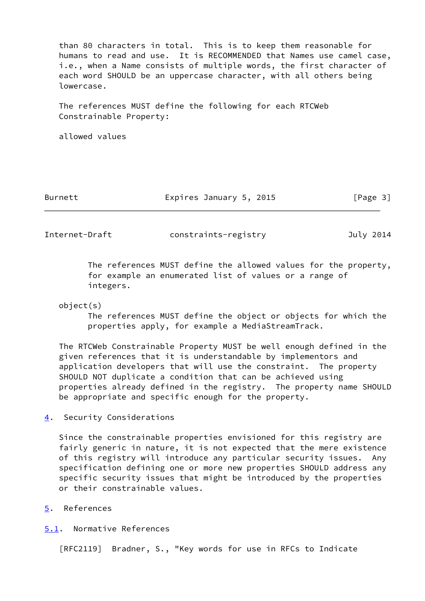than 80 characters in total. This is to keep them reasonable for humans to read and use. It is RECOMMENDED that Names use camel case, i.e., when a Name consists of multiple words, the first character of each word SHOULD be an uppercase character, with all others being lowercase.

 The references MUST define the following for each RTCWeb Constrainable Property:

allowed values

Burnett **Expires January 5, 2015** [Page 3]

<span id="page-3-1"></span>Internet-Draft constraints-registry July 2014

 The references MUST define the allowed values for the property, for example an enumerated list of values or a range of integers.

### object(s)

 The references MUST define the object or objects for which the properties apply, for example a MediaStreamTrack.

 The RTCWeb Constrainable Property MUST be well enough defined in the given references that it is understandable by implementors and application developers that will use the constraint. The property SHOULD NOT duplicate a condition that can be achieved using properties already defined in the registry. The property name SHOULD be appropriate and specific enough for the property.

<span id="page-3-0"></span>[4](#page-3-0). Security Considerations

 Since the constrainable properties envisioned for this registry are fairly generic in nature, it is not expected that the mere existence of this registry will introduce any particular security issues. Any specification defining one or more new properties SHOULD address any specific security issues that might be introduced by the properties or their constrainable values.

- <span id="page-3-2"></span>[5](#page-3-2). References
- <span id="page-3-3"></span>[5.1](#page-3-3). Normative References

[RFC2119] Bradner, S., "Key words for use in RFCs to Indicate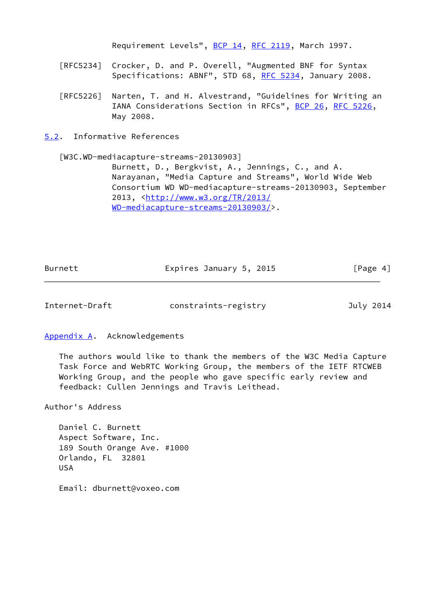Requirement Levels", [BCP 14](https://datatracker.ietf.org/doc/pdf/bcp14), [RFC 2119](https://datatracker.ietf.org/doc/pdf/rfc2119), March 1997.

- [RFC5234] Crocker, D. and P. Overell, "Augmented BNF for Syntax Specifications: ABNF", STD 68, [RFC 5234](https://datatracker.ietf.org/doc/pdf/rfc5234), January 2008.
- [RFC5226] Narten, T. and H. Alvestrand, "Guidelines for Writing an IANA Considerations Section in RFCs", [BCP 26](https://datatracker.ietf.org/doc/pdf/bcp26), [RFC 5226](https://datatracker.ietf.org/doc/pdf/rfc5226), May 2008.
- <span id="page-4-0"></span>[5.2](#page-4-0). Informative References

<span id="page-4-3"></span>[W3C.WD-mediacapture-streams-20130903]

 Burnett, D., Bergkvist, A., Jennings, C., and A. Narayanan, "Media Capture and Streams", World Wide Web Consortium WD WD-mediacapture-streams-20130903, September 2013, [<http://www.w3.org/TR/2013/](http://www.w3.org/TR/2013/WD-mediacapture-streams-20130903/) [WD-mediacapture-streams-20130903/>](http://www.w3.org/TR/2013/WD-mediacapture-streams-20130903/).

| Burnett | Expires January 5, 2015 | [Page 4] |
|---------|-------------------------|----------|
|         |                         |          |

<span id="page-4-2"></span>Internet-Draft constraints-registry July 2014

<span id="page-4-1"></span>[Appendix A.](#page-4-1) Acknowledgements

 The authors would like to thank the members of the W3C Media Capture Task Force and WebRTC Working Group, the members of the IETF RTCWEB Working Group, and the people who gave specific early review and feedback: Cullen Jennings and Travis Leithead.

Author's Address

 Daniel C. Burnett Aspect Software, Inc. 189 South Orange Ave. #1000 Orlando, FL 32801 USA

Email: dburnett@voxeo.com